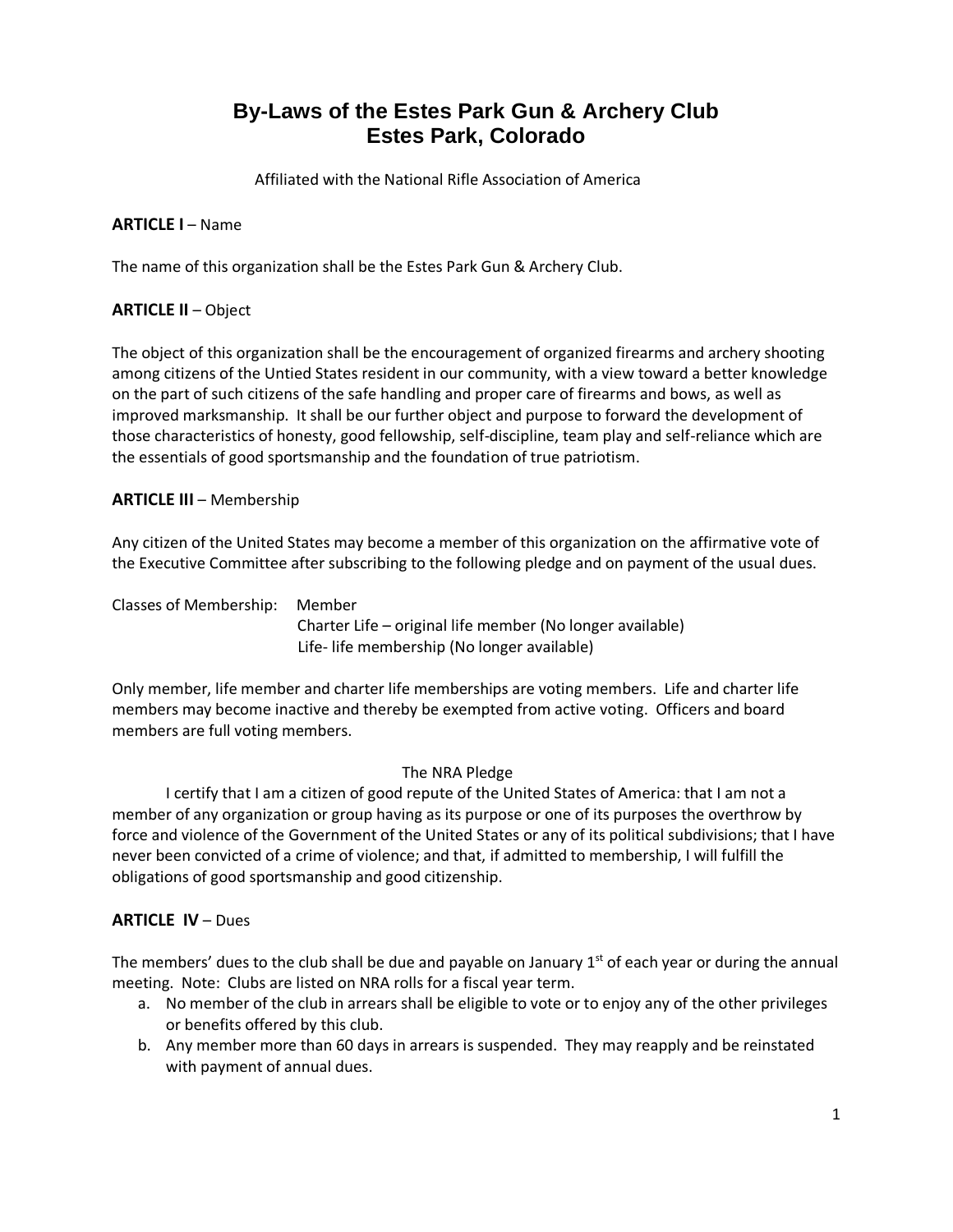# **By-Laws of the Estes Park Gun & Archery Club Estes Park, Colorado**

Affiliated with the National Rifle Association of America

## **ARTICLE I** – Name

The name of this organization shall be the Estes Park Gun & Archery Club.

## **ARTICLE II** – Object

The object of this organization shall be the encouragement of organized firearms and archery shooting among citizens of the Untied States resident in our community, with a view toward a better knowledge on the part of such citizens of the safe handling and proper care of firearms and bows, as well as improved marksmanship. It shall be our further object and purpose to forward the development of those characteristics of honesty, good fellowship, self-discipline, team play and self-reliance which are the essentials of good sportsmanship and the foundation of true patriotism.

#### **ARTICLE III** – Membership

Any citizen of the United States may become a member of this organization on the affirmative vote of the Executive Committee after subscribing to the following pledge and on payment of the usual dues.

Classes of Membership: Member

 Charter Life – original life member (No longer available) Life- life membership (No longer available)

Only member, life member and charter life memberships are voting members. Life and charter life members may become inactive and thereby be exempted from active voting. Officers and board members are full voting members.

## The NRA Pledge

 I certify that I am a citizen of good repute of the United States of America: that I am not a member of any organization or group having as its purpose or one of its purposes the overthrow by force and violence of the Government of the United States or any of its political subdivisions; that I have never been convicted of a crime of violence; and that, if admitted to membership, I will fulfill the obligations of good sportsmanship and good citizenship.

## **ARTICLE IV** – Dues

The members' dues to the club shall be due and payable on January  $1<sup>st</sup>$  of each year or during the annual meeting. Note: Clubs are listed on NRA rolls for a fiscal year term.

- a. No member of the club in arrears shall be eligible to vote or to enjoy any of the other privileges or benefits offered by this club.
- b. Any member more than 60 days in arrears is suspended. They may reapply and be reinstated with payment of annual dues.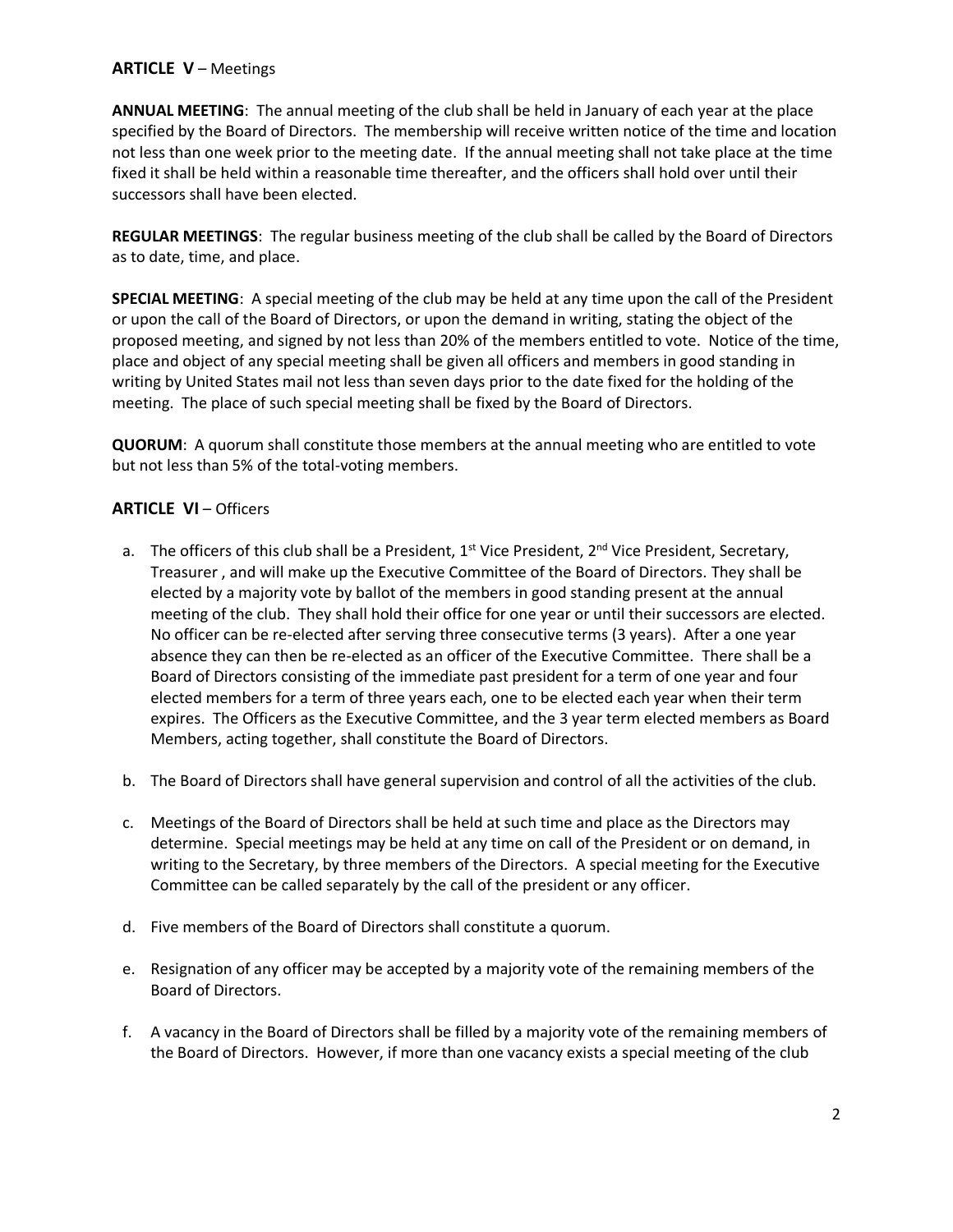# **ARTICLE V** – Meetings

**ANNUAL MEETING**: The annual meeting of the club shall be held in January of each year at the place specified by the Board of Directors. The membership will receive written notice of the time and location not less than one week prior to the meeting date. If the annual meeting shall not take place at the time fixed it shall be held within a reasonable time thereafter, and the officers shall hold over until their successors shall have been elected.

**REGULAR MEETINGS**: The regular business meeting of the club shall be called by the Board of Directors as to date, time, and place.

**SPECIAL MEETING**: A special meeting of the club may be held at any time upon the call of the President or upon the call of the Board of Directors, or upon the demand in writing, stating the object of the proposed meeting, and signed by not less than 20% of the members entitled to vote. Notice of the time, place and object of any special meeting shall be given all officers and members in good standing in writing by United States mail not less than seven days prior to the date fixed for the holding of the meeting. The place of such special meeting shall be fixed by the Board of Directors.

**QUORUM**: A quorum shall constitute those members at the annual meeting who are entitled to vote but not less than 5% of the total-voting members.

## **ARTICLE VI** – Officers

- a. The officers of this club shall be a President,  $1^{st}$  Vice President,  $2^{nd}$  Vice President, Secretary, Treasurer , and will make up the Executive Committee of the Board of Directors. They shall be elected by a majority vote by ballot of the members in good standing present at the annual meeting of the club. They shall hold their office for one year or until their successors are elected. No officer can be re-elected after serving three consecutive terms (3 years). After a one year absence they can then be re-elected as an officer of the Executive Committee. There shall be a Board of Directors consisting of the immediate past president for a term of one year and four elected members for a term of three years each, one to be elected each year when their term expires. The Officers as the Executive Committee, and the 3 year term elected members as Board Members, acting together, shall constitute the Board of Directors.
- b. The Board of Directors shall have general supervision and control of all the activities of the club.
- c. Meetings of the Board of Directors shall be held at such time and place as the Directors may determine. Special meetings may be held at any time on call of the President or on demand, in writing to the Secretary, by three members of the Directors. A special meeting for the Executive Committee can be called separately by the call of the president or any officer.
- d. Five members of the Board of Directors shall constitute a quorum.
- e. Resignation of any officer may be accepted by a majority vote of the remaining members of the Board of Directors.
- f. A vacancy in the Board of Directors shall be filled by a majority vote of the remaining members of the Board of Directors. However, if more than one vacancy exists a special meeting of the club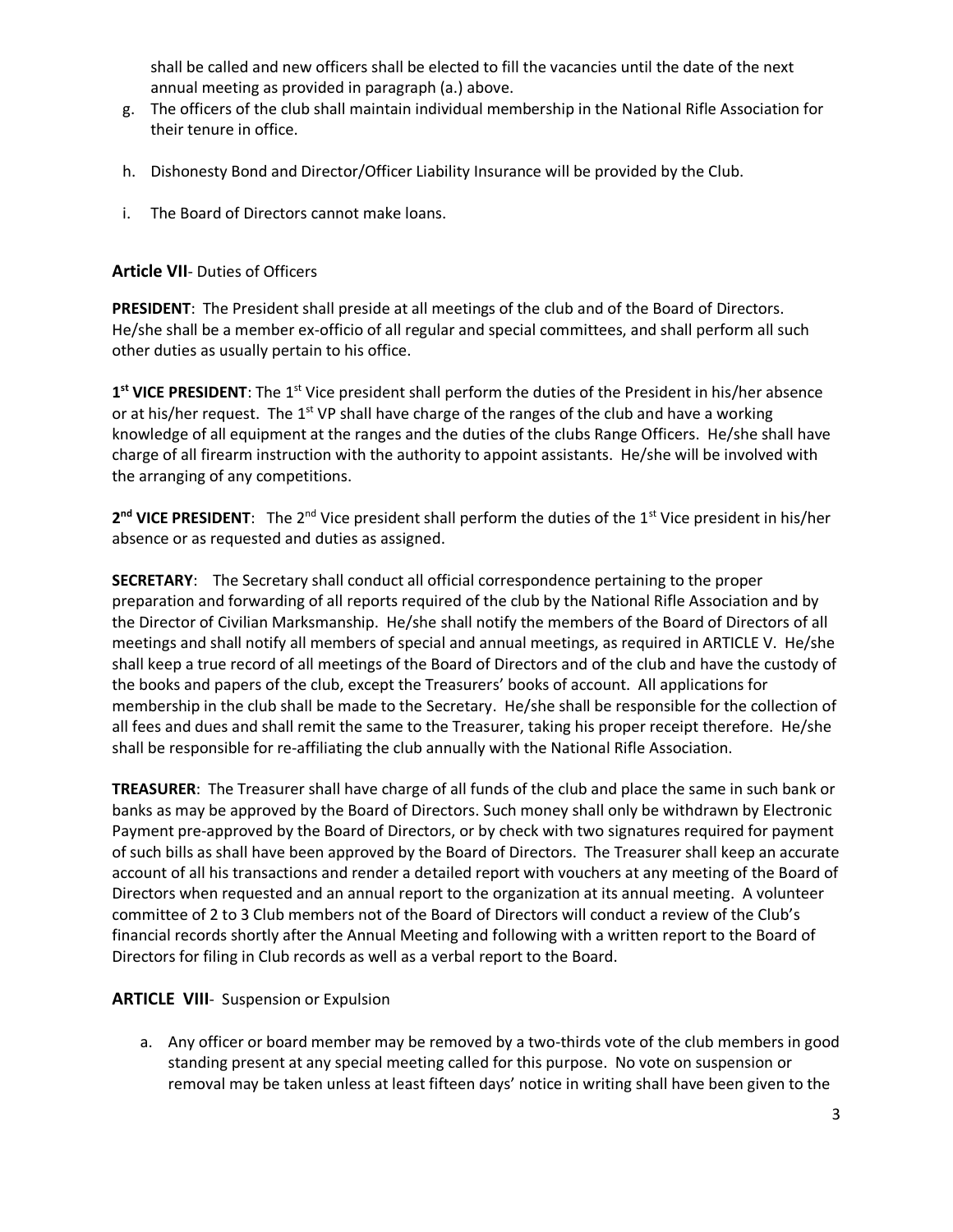shall be called and new officers shall be elected to fill the vacancies until the date of the next annual meeting as provided in paragraph (a.) above.

- g. The officers of the club shall maintain individual membership in the National Rifle Association for their tenure in office.
- h. Dishonesty Bond and Director/Officer Liability Insurance will be provided by the Club.
- i. The Board of Directors cannot make loans.

## **Article VII**- Duties of Officers

**PRESIDENT**: The President shall preside at all meetings of the club and of the Board of Directors. He/she shall be a member ex-officio of all regular and special committees, and shall perform all such other duties as usually pertain to his office.

1<sup>st</sup> VICE PRESIDENT: The 1<sup>st</sup> Vice president shall perform the duties of the President in his/her absence or at his/her request. The  $1<sup>st</sup> VP$  shall have charge of the ranges of the club and have a working knowledge of all equipment at the ranges and the duties of the clubs Range Officers. He/she shall have charge of all firearm instruction with the authority to appoint assistants. He/she will be involved with the arranging of any competitions.

2<sup>nd</sup> VICE PRESIDENT: The 2<sup>nd</sup> Vice president shall perform the duties of the 1<sup>st</sup> Vice president in his/her absence or as requested and duties as assigned.

**SECRETARY**: The Secretary shall conduct all official correspondence pertaining to the proper preparation and forwarding of all reports required of the club by the National Rifle Association and by the Director of Civilian Marksmanship. He/she shall notify the members of the Board of Directors of all meetings and shall notify all members of special and annual meetings, as required in ARTICLE V. He/she shall keep a true record of all meetings of the Board of Directors and of the club and have the custody of the books and papers of the club, except the Treasurers' books of account. All applications for membership in the club shall be made to the Secretary. He/she shall be responsible for the collection of all fees and dues and shall remit the same to the Treasurer, taking his proper receipt therefore. He/she shall be responsible for re-affiliating the club annually with the National Rifle Association.

**TREASURER**: The Treasurer shall have charge of all funds of the club and place the same in such bank or banks as may be approved by the Board of Directors. Such money shall only be withdrawn by Electronic Payment pre-approved by the Board of Directors, or by check with two signatures required for payment of such bills as shall have been approved by the Board of Directors. The Treasurer shall keep an accurate account of all his transactions and render a detailed report with vouchers at any meeting of the Board of Directors when requested and an annual report to the organization at its annual meeting. A volunteer committee of 2 to 3 Club members not of the Board of Directors will conduct a review of the Club's financial records shortly after the Annual Meeting and following with a written report to the Board of Directors for filing in Club records as well as a verbal report to the Board.

## **ARTICLE VIII**- Suspension or Expulsion

a. Any officer or board member may be removed by a two-thirds vote of the club members in good standing present at any special meeting called for this purpose. No vote on suspension or removal may be taken unless at least fifteen days' notice in writing shall have been given to the